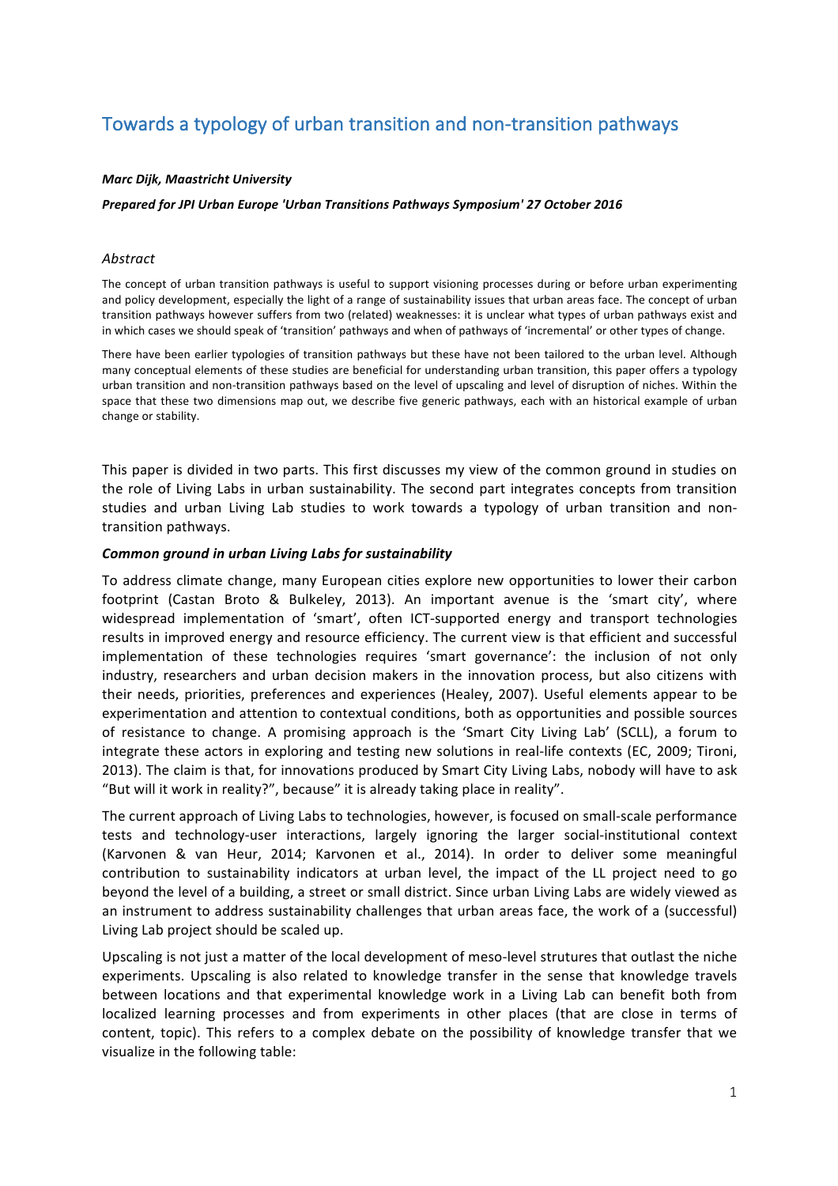# Towards a typology of urban transition and non-transition pathways

## *Marc Dijk, Maastricht University*

## *Prepared for JPI Urban Europe 'Urban Transitions Pathways Symposium' 27 October 2016*

## *Abstract*

The concept of urban transition pathways is useful to support visioning processes during or before urban experimenting and policy development, especially the light of a range of sustainability issues that urban areas face. The concept of urban transition pathways however suffers from two (related) weaknesses: it is unclear what types of urban pathways exist and in which cases we should speak of 'transition' pathways and when of pathways of 'incremental' or other types of change.

There have been earlier typologies of transition pathways but these have not been tailored to the urban level. Although many conceptual elements of these studies are beneficial for understanding urban transition, this paper offers a typology urban transition and non-transition pathways based on the level of upscaling and level of disruption of niches. Within the space that these two dimensions map out, we describe five generic pathways, each with an historical example of urban change or stability.

This paper is divided in two parts. This first discusses my view of the common ground in studies on the role of Living Labs in urban sustainability. The second part integrates concepts from transition studies and urban Living Lab studies to work towards a typology of urban transition and nontransition pathways.

## *Common ground in urban Living Labs for sustainability*

To address climate change, many European cities explore new opportunities to lower their carbon footprint (Castan Broto & Bulkeley, 2013). An important avenue is the 'smart city', where widespread implementation of 'smart', often ICT-supported energy and transport technologies results in improved energy and resource efficiency. The current view is that efficient and successful implementation of these technologies requires 'smart governance': the inclusion of not only industry, researchers and urban decision makers in the innovation process, but also citizens with their needs, priorities, preferences and experiences (Healey, 2007). Useful elements appear to be experimentation and attention to contextual conditions, both as opportunities and possible sources of resistance to change. A promising approach is the 'Smart City Living Lab' (SCLL), a forum to integrate these actors in exploring and testing new solutions in real-life contexts (EC, 2009; Tironi, 2013). The claim is that, for innovations produced by Smart City Living Labs, nobody will have to ask "But will it work in reality?", because" it is already taking place in reality".

The current approach of Living Labs to technologies, however, is focused on small-scale performance tests and technology-user interactions, largely ignoring the larger social-institutional context (Karvonen & van Heur, 2014; Karvonen et al., 2014). In order to deliver some meaningful contribution to sustainability indicators at urban level, the impact of the LL project need to go beyond the level of a building, a street or small district. Since urban Living Labs are widely viewed as an instrument to address sustainability challenges that urban areas face, the work of a (successful) Living Lab project should be scaled up.

Upscaling is not just a matter of the local development of meso-level strutures that outlast the niche experiments. Upscaling is also related to knowledge transfer in the sense that knowledge travels between locations and that experimental knowledge work in a Living Lab can benefit both from localized learning processes and from experiments in other places (that are close in terms of content, topic). This refers to a complex debate on the possibility of knowledge transfer that we visualize in the following table: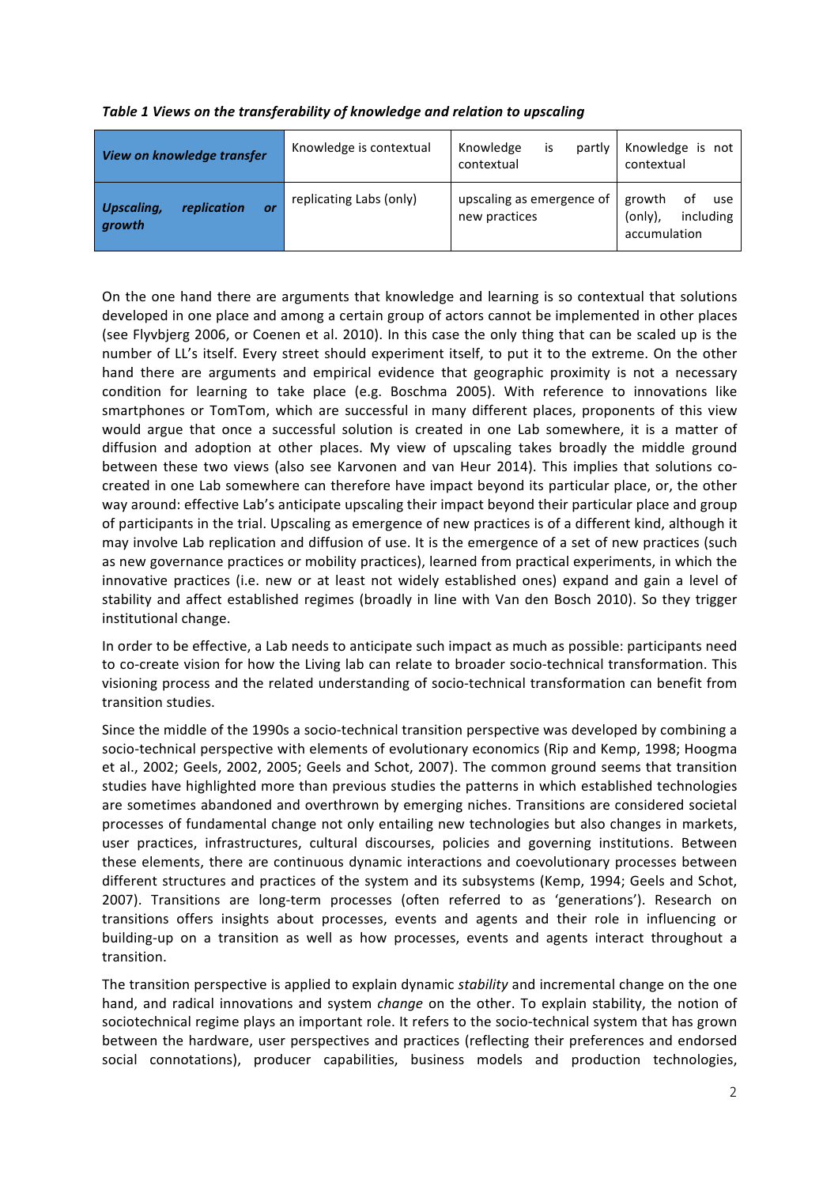|  | Table 1 Views on the transferability of knowledge and relation to upscaling |  |  |
|--|-----------------------------------------------------------------------------|--|--|
|  |                                                                             |  |  |

| View on knowledge transfer                              | Knowledge is contextual | is<br>Knowledge<br>partly<br>contextual    | Knowledge is not<br>contextual                              |
|---------------------------------------------------------|-------------------------|--------------------------------------------|-------------------------------------------------------------|
| <b>Upscaling,</b><br><i>replication</i><br>or<br>growth | replicating Labs (only) | upscaling as emergence of<br>new practices | growth<br>οf<br>use<br>including<br>(only),<br>accumulation |

On the one hand there are arguments that knowledge and learning is so contextual that solutions developed in one place and among a certain group of actors cannot be implemented in other places (see Flyvbjerg 2006, or Coenen et al. 2010). In this case the only thing that can be scaled up is the number of LL's itself. Every street should experiment itself, to put it to the extreme. On the other hand there are arguments and empirical evidence that geographic proximity is not a necessary condition for learning to take place (e.g. Boschma 2005). With reference to innovations like smartphones or TomTom, which are successful in many different places, proponents of this view would argue that once a successful solution is created in one Lab somewhere, it is a matter of diffusion and adoption at other places. My view of upscaling takes broadly the middle ground between these two views (also see Karvonen and van Heur 2014). This implies that solutions cocreated in one Lab somewhere can therefore have impact beyond its particular place, or, the other way around: effective Lab's anticipate upscaling their impact beyond their particular place and group of participants in the trial. Upscaling as emergence of new practices is of a different kind, although it may involve Lab replication and diffusion of use. It is the emergence of a set of new practices (such as new governance practices or mobility practices), learned from practical experiments, in which the innovative practices (i.e. new or at least not widely established ones) expand and gain a level of stability and affect established regimes (broadly in line with Van den Bosch 2010). So they trigger institutional change.

In order to be effective, a Lab needs to anticipate such impact as much as possible: participants need to co-create vision for how the Living lab can relate to broader socio-technical transformation. This visioning process and the related understanding of socio-technical transformation can benefit from transition studies.

Since the middle of the 1990s a socio-technical transition perspective was developed by combining a socio-technical perspective with elements of evolutionary economics (Rip and Kemp, 1998; Hoogma et al., 2002; Geels, 2002, 2005; Geels and Schot, 2007). The common ground seems that transition studies have highlighted more than previous studies the patterns in which established technologies are sometimes abandoned and overthrown by emerging niches. Transitions are considered societal processes of fundamental change not only entailing new technologies but also changes in markets, user practices, infrastructures, cultural discourses, policies and governing institutions. Between these elements, there are continuous dynamic interactions and coevolutionary processes between different structures and practices of the system and its subsystems (Kemp, 1994; Geels and Schot, 2007). Transitions are long-term processes (often referred to as 'generations'). Research on transitions offers insights about processes, events and agents and their role in influencing or building-up on a transition as well as how processes, events and agents interact throughout a transition.

The transition perspective is applied to explain dynamic *stability* and incremental change on the one hand, and radical innovations and system *change* on the other. To explain stability, the notion of sociotechnical regime plays an important role. It refers to the socio-technical system that has grown between the hardware, user perspectives and practices (reflecting their preferences and endorsed social connotations), producer capabilities, business models and production technologies,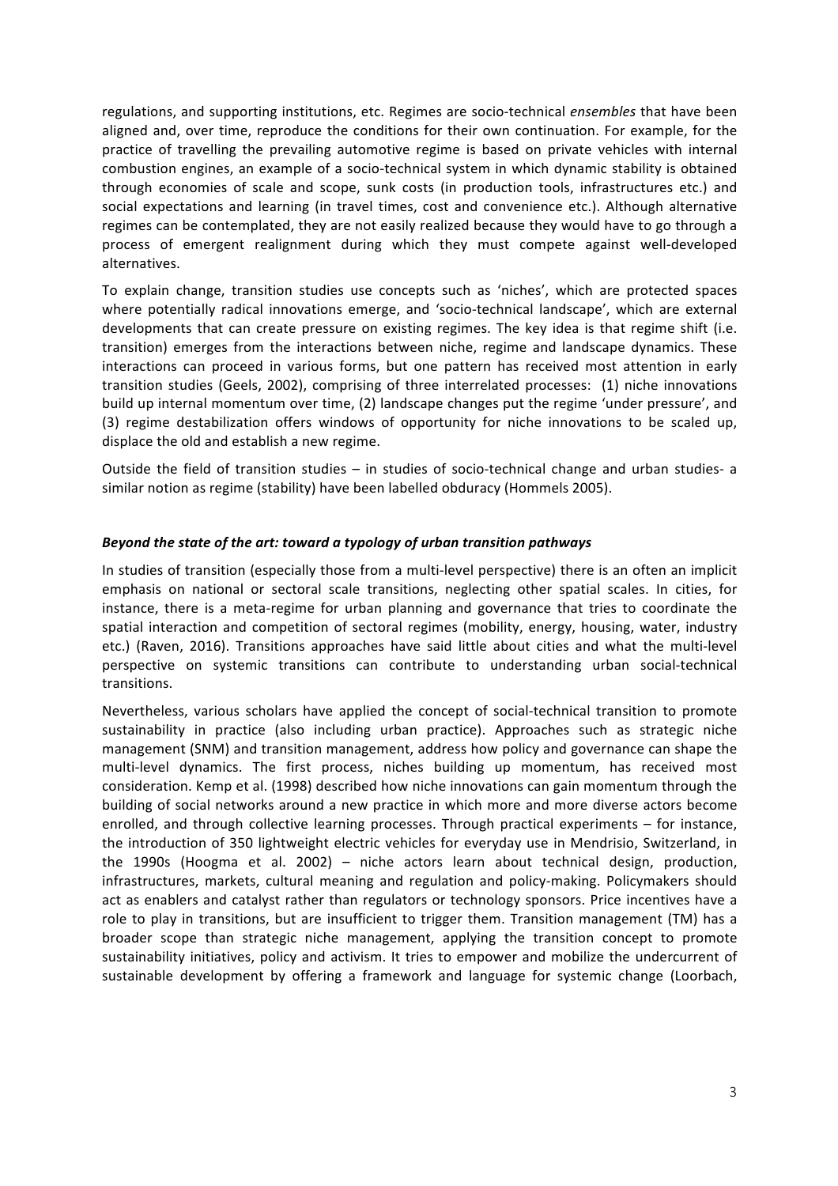regulations, and supporting institutions, etc. Regimes are socio-technical *ensembles* that have been aligned and, over time, reproduce the conditions for their own continuation. For example, for the practice of travelling the prevailing automotive regime is based on private vehicles with internal combustion engines, an example of a socio-technical system in which dynamic stability is obtained through economies of scale and scope, sunk costs (in production tools, infrastructures etc.) and social expectations and learning (in travel times, cost and convenience etc.). Although alternative regimes can be contemplated, they are not easily realized because they would have to go through a process of emergent realignment during which they must compete against well-developed alternatives.

To explain change, transition studies use concepts such as 'niches', which are protected spaces where potentially radical innovations emerge, and 'socio-technical landscape', which are external developments that can create pressure on existing regimes. The key idea is that regime shift (i.e. transition) emerges from the interactions between niche, regime and landscape dynamics. These interactions can proceed in various forms, but one pattern has received most attention in early transition studies (Geels, 2002), comprising of three interrelated processes: (1) niche innovations build up internal momentum over time, (2) landscape changes put the regime 'under pressure', and (3) regime destabilization offers windows of opportunity for niche innovations to be scaled up, displace the old and establish a new regime.

Outside the field of transition studies  $-$  in studies of socio-technical change and urban studies- a similar notion as regime (stability) have been labelled obduracy (Hommels 2005).

## *Beyond the state of the art: toward a typology of urban transition pathways*

In studies of transition (especially those from a multi-level perspective) there is an often an implicit emphasis on national or sectoral scale transitions, neglecting other spatial scales. In cities, for instance, there is a meta-regime for urban planning and governance that tries to coordinate the spatial interaction and competition of sectoral regimes (mobility, energy, housing, water, industry etc.) (Raven, 2016). Transitions approaches have said little about cities and what the multi-level perspective on systemic transitions can contribute to understanding urban social-technical transitions.

Nevertheless, various scholars have applied the concept of social-technical transition to promote sustainability in practice (also including urban practice). Approaches such as strategic niche management (SNM) and transition management, address how policy and governance can shape the multi-level dynamics. The first process, niches building up momentum, has received most consideration. Kemp et al. (1998) described how niche innovations can gain momentum through the building of social networks around a new practice in which more and more diverse actors become enrolled, and through collective learning processes. Through practical experiments – for instance, the introduction of 350 lightweight electric vehicles for everyday use in Mendrisio, Switzerland, in the 1990s (Hoogma et al. 2002) - niche actors learn about technical design, production, infrastructures, markets, cultural meaning and regulation and policy-making. Policymakers should act as enablers and catalyst rather than regulators or technology sponsors. Price incentives have a role to play in transitions, but are insufficient to trigger them. Transition management (TM) has a broader scope than strategic niche management, applying the transition concept to promote sustainability initiatives, policy and activism. It tries to empower and mobilize the undercurrent of sustainable development by offering a framework and language for systemic change (Loorbach,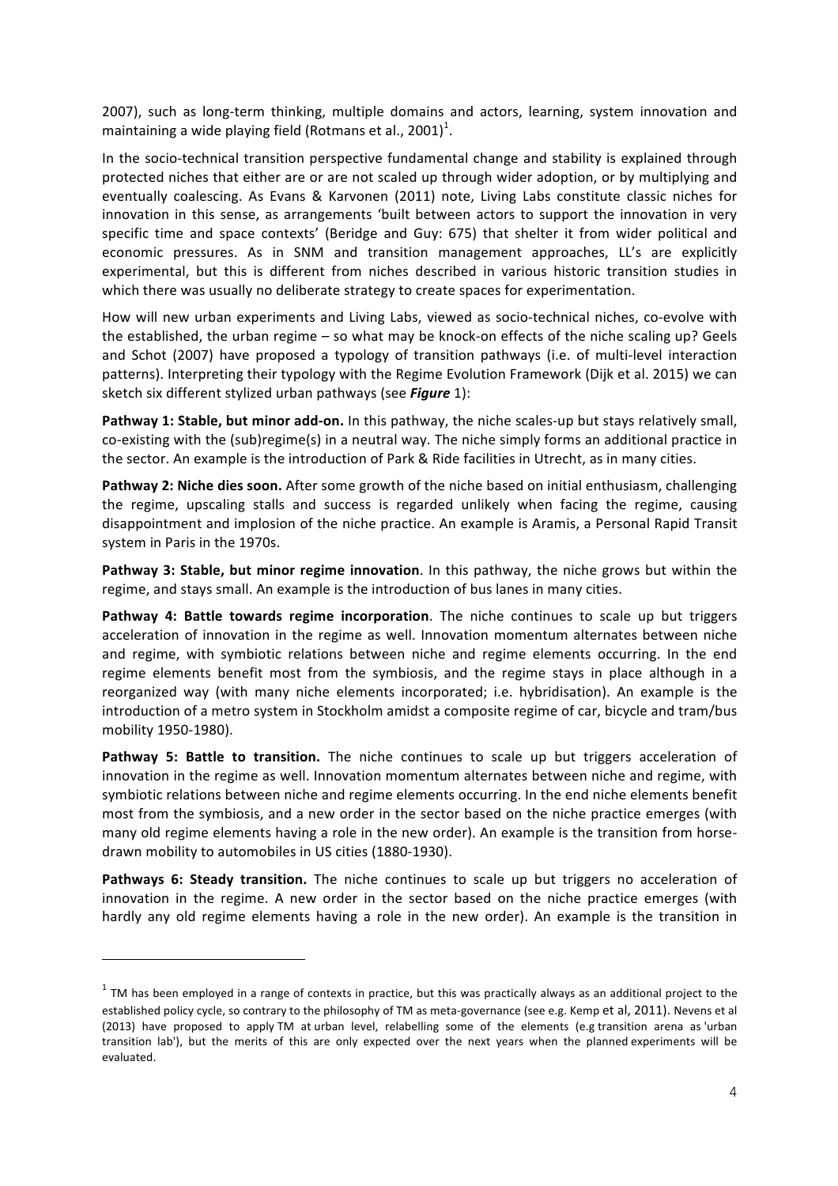2007), such as long-term thinking, multiple domains and actors, learning, system innovation and maintaining a wide playing field (Rotmans et al., 2001) $^1$ .

In the socio-technical transition perspective fundamental change and stability is explained through protected niches that either are or are not scaled up through wider adoption, or by multiplying and eventually coalescing. As Evans & Karvonen (2011) note, Living Labs constitute classic niches for innovation in this sense, as arrangements 'built between actors to support the innovation in very specific time and space contexts' (Beridge and Guy: 675) that shelter it from wider political and economic pressures. As in SNM and transition management approaches, LL's are explicitly experimental, but this is different from niches described in various historic transition studies in which there was usually no deliberate strategy to create spaces for experimentation.

How will new urban experiments and Living Labs, viewed as socio-technical niches, co-evolve with the established, the urban regime - so what may be knock-on effects of the niche scaling up? Geels and Schot (2007) have proposed a typology of transition pathways (i.e. of multi-level interaction patterns). Interpreting their typology with the Regime Evolution Framework (Dijk et al. 2015) we can sketch six different stylized urban pathways (see *Figure* 1):

**Pathway 1: Stable, but minor add-on.** In this pathway, the niche scales-up but stays relatively small, co-existing with the (sub)regime(s) in a neutral way. The niche simply forms an additional practice in the sector. An example is the introduction of Park & Ride facilities in Utrecht, as in many cities.

**Pathway 2: Niche dies soon.** After some growth of the niche based on initial enthusiasm, challenging the regime, upscaling stalls and success is regarded unlikely when facing the regime, causing disappointment and implosion of the niche practice. An example is Aramis, a Personal Rapid Transit system in Paris in the 1970s.

**Pathway 3: Stable, but minor regime innovation**. In this pathway, the niche grows but within the regime, and stays small. An example is the introduction of bus lanes in many cities.

**Pathway 4: Battle towards regime incorporation.** The niche continues to scale up but triggers acceleration of innovation in the regime as well. Innovation momentum alternates between niche and regime, with symbiotic relations between niche and regime elements occurring. In the end regime elements benefit most from the symbiosis, and the regime stays in place although in a reorganized way (with many niche elements incorporated; i.e. hybridisation). An example is the introduction of a metro system in Stockholm amidst a composite regime of car, bicycle and tram/bus mobility 1950-1980).

**Pathway 5: Battle to transition.** The niche continues to scale up but triggers acceleration of innovation in the regime as well. Innovation momentum alternates between niche and regime, with symbiotic relations between niche and regime elements occurring. In the end niche elements benefit most from the symbiosis, and a new order in the sector based on the niche practice emerges (with many old regime elements having a role in the new order). An example is the transition from horsedrawn mobility to automobiles in US cities (1880-1930).

**Pathways 6: Steady transition.** The niche continues to scale up but triggers no acceleration of innovation in the regime. A new order in the sector based on the niche practice emerges (with hardly any old regime elements having a role in the new order). An example is the transition in

<u> 1989 - Johann Barn, mars ann an t-Amhain an t-Amhain an t-Amhain an t-Amhain an t-Amhain an t-Amhain an t-Amh</u>

 $1$  TM has been employed in a range of contexts in practice, but this was practically always as an additional project to the established policy cycle, so contrary to the philosophy of TM as meta-governance (see e.g. Kemp et al, 2011). Nevens et al (2013) have proposed to apply TM at urban level, relabelling some of the elements (e.g transition arena as 'urban transition lab'), but the merits of this are only expected over the next years when the planned experiments will be evaluated.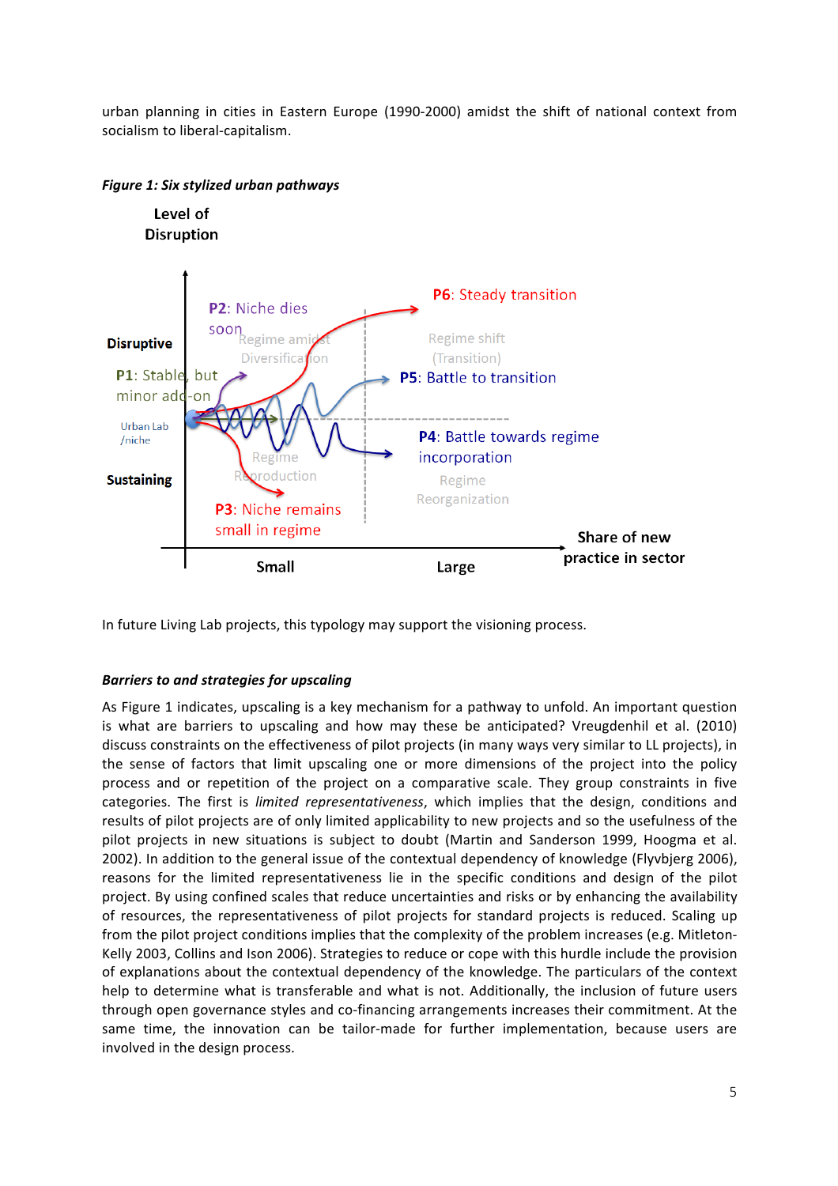urban planning in cities in Eastern Europe (1990-2000) amidst the shift of national context from socialism to liberal-capitalism.



## *Figure 1: Six stylized urban pathways*

In future Living Lab projects, this typology may support the visioning process.

## **Barriers to and strategies for upscaling**

As Figure 1 indicates, upscaling is a key mechanism for a pathway to unfold. An important question is what are barriers to upscaling and how may these be anticipated? Vreugdenhil et al. (2010) discuss constraints on the effectiveness of pilot projects (in many ways very similar to LL projects), in the sense of factors that limit upscaling one or more dimensions of the project into the policy process and or repetition of the project on a comparative scale. They group constraints in five categories. The first is *limited representativeness*, which implies that the design, conditions and results of pilot projects are of only limited applicability to new projects and so the usefulness of the pilot projects in new situations is subject to doubt (Martin and Sanderson 1999, Hoogma et al. 2002). In addition to the general issue of the contextual dependency of knowledge (Flyvbjerg 2006), reasons for the limited representativeness lie in the specific conditions and design of the pilot project. By using confined scales that reduce uncertainties and risks or by enhancing the availability of resources, the representativeness of pilot projects for standard projects is reduced. Scaling up from the pilot project conditions implies that the complexity of the problem increases (e.g. Mitleton-Kelly 2003, Collins and Ison 2006). Strategies to reduce or cope with this hurdle include the provision of explanations about the contextual dependency of the knowledge. The particulars of the context help to determine what is transferable and what is not. Additionally, the inclusion of future users through open governance styles and co-financing arrangements increases their commitment. At the same time, the innovation can be tailor-made for further implementation, because users are involved in the design process.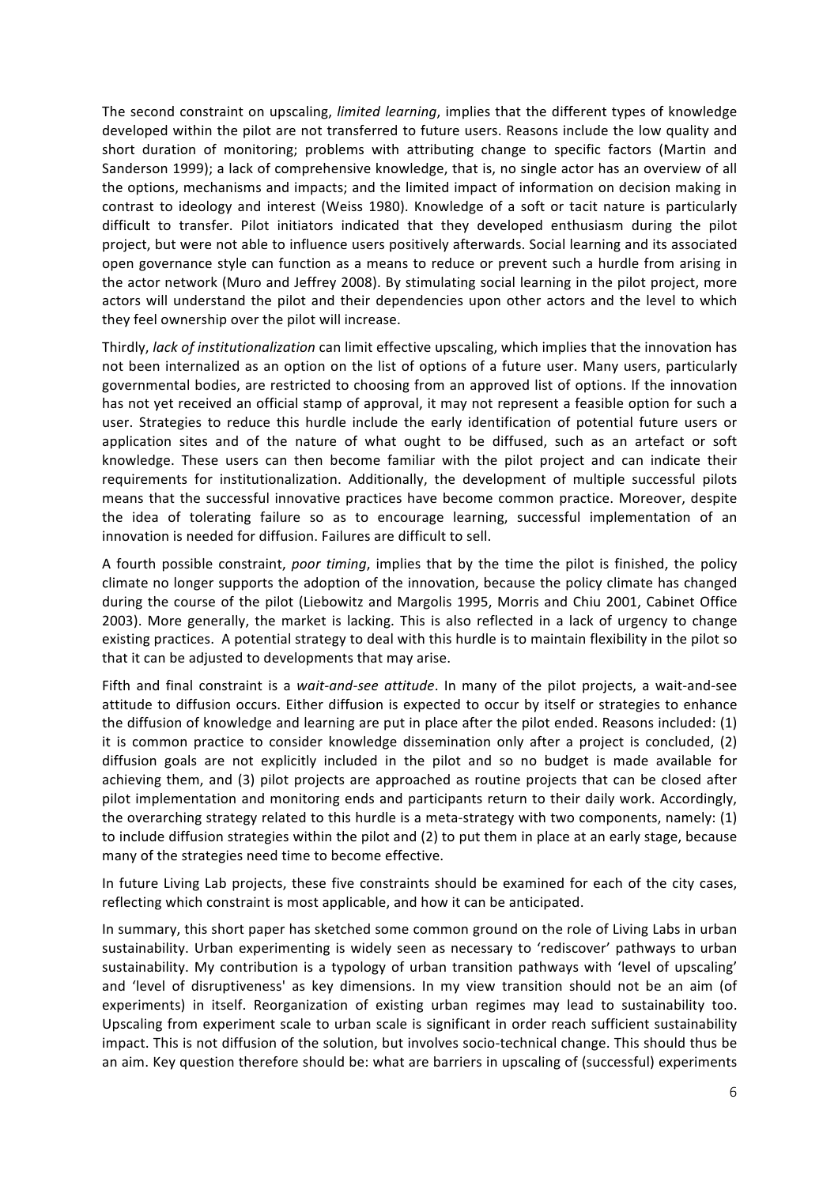The second constraint on upscaling, *limited learning*, implies that the different types of knowledge developed within the pilot are not transferred to future users. Reasons include the low quality and short duration of monitoring; problems with attributing change to specific factors (Martin and Sanderson 1999); a lack of comprehensive knowledge, that is, no single actor has an overview of all the options, mechanisms and impacts; and the limited impact of information on decision making in contrast to ideology and interest (Weiss 1980). Knowledge of a soft or tacit nature is particularly difficult to transfer. Pilot initiators indicated that they developed enthusiasm during the pilot project, but were not able to influence users positively afterwards. Social learning and its associated open governance style can function as a means to reduce or prevent such a hurdle from arising in the actor network (Muro and Jeffrey 2008). By stimulating social learning in the pilot project, more actors will understand the pilot and their dependencies upon other actors and the level to which they feel ownership over the pilot will increase.

Thirdly, *lack of institutionalization* can limit effective upscaling, which implies that the innovation has not been internalized as an option on the list of options of a future user. Many users, particularly governmental bodies, are restricted to choosing from an approved list of options. If the innovation has not yet received an official stamp of approval, it may not represent a feasible option for such a user. Strategies to reduce this hurdle include the early identification of potential future users or application sites and of the nature of what ought to be diffused, such as an artefact or soft knowledge. These users can then become familiar with the pilot project and can indicate their requirements for institutionalization. Additionally, the development of multiple successful pilots means that the successful innovative practices have become common practice. Moreover, despite the idea of tolerating failure so as to encourage learning, successful implementation of an innovation is needed for diffusion. Failures are difficult to sell.

A fourth possible constraint, *poor timing*, implies that by the time the pilot is finished, the policy climate no longer supports the adoption of the innovation, because the policy climate has changed during the course of the pilot (Liebowitz and Margolis 1995, Morris and Chiu 2001, Cabinet Office 2003). More generally, the market is lacking. This is also reflected in a lack of urgency to change existing practices. A potential strategy to deal with this hurdle is to maintain flexibility in the pilot so that it can be adjusted to developments that may arise.

Fifth and final constraint is a *wait-and-see attitude*. In many of the pilot projects, a wait-and-see attitude to diffusion occurs. Either diffusion is expected to occur by itself or strategies to enhance the diffusion of knowledge and learning are put in place after the pilot ended. Reasons included:  $(1)$ it is common practice to consider knowledge dissemination only after a project is concluded,  $(2)$ diffusion goals are not explicitly included in the pilot and so no budget is made available for achieving them, and (3) pilot projects are approached as routine projects that can be closed after pilot implementation and monitoring ends and participants return to their daily work. Accordingly, the overarching strategy related to this hurdle is a meta-strategy with two components, namely:  $(1)$ to include diffusion strategies within the pilot and (2) to put them in place at an early stage, because many of the strategies need time to become effective.

In future Living Lab projects, these five constraints should be examined for each of the city cases, reflecting which constraint is most applicable, and how it can be anticipated.

In summary, this short paper has sketched some common ground on the role of Living Labs in urban sustainability. Urban experimenting is widely seen as necessary to 'rediscover' pathways to urban sustainability. My contribution is a typology of urban transition pathways with 'level of upscaling' and 'level of disruptiveness' as key dimensions. In my view transition should not be an aim (of experiments) in itself. Reorganization of existing urban regimes may lead to sustainability too. Upscaling from experiment scale to urban scale is significant in order reach sufficient sustainability impact. This is not diffusion of the solution, but involves socio-technical change. This should thus be an aim. Key question therefore should be: what are barriers in upscaling of (successful) experiments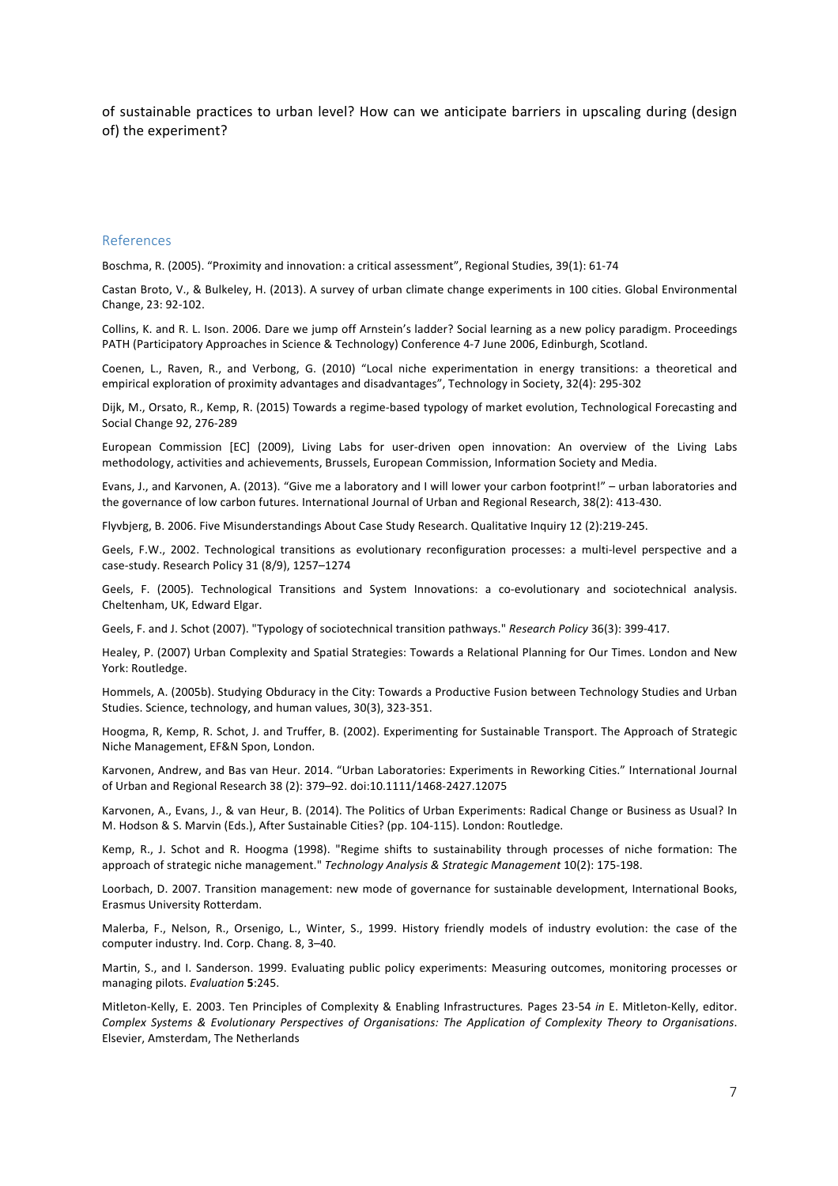of sustainable practices to urban level? How can we anticipate barriers in upscaling during (design of) the experiment?

#### References

Boschma, R. (2005). "Proximity and innovation: a critical assessment". Regional Studies, 39(1): 61-74

Castan Broto, V., & Bulkeley, H. (2013). A survey of urban climate change experiments in 100 cities. Global Environmental Change, 23: 92-102.

Collins, K. and R. L. Ison. 2006. Dare we iump off Arnstein's ladder? Social learning as a new policy paradigm. Proceedings PATH (Participatory Approaches in Science & Technology) Conference 4-7 June 2006, Edinburgh, Scotland.

Coenen, L., Raven, R., and Verbong, G. (2010) "Local niche experimentation in energy transitions: a theoretical and empirical exploration of proximity advantages and disadvantages", Technology in Society, 32(4): 295-302

Dijk, M., Orsato, R., Kemp, R. (2015) Towards a regime-based typology of market evolution, Technological Forecasting and Social Change 92, 276-289

European Commission [EC] (2009), Living Labs for user-driven open innovation: An overview of the Living Labs methodology, activities and achievements, Brussels, European Commission, Information Society and Media.

Evans, J., and Karvonen, A. (2013). "Give me a laboratory and I will lower your carbon footprint!" – urban laboratories and the governance of low carbon futures. International Journal of Urban and Regional Research, 38(2): 413-430.

Flyvbjerg, B. 2006. Five Misunderstandings About Case Study Research. Qualitative Inquiry 12 (2):219-245.

Geels, F.W., 2002. Technological transitions as evolutionary reconfiguration processes: a multi-level perspective and a case-study. Research Policy 31 (8/9), 1257-1274

Geels, F. (2005). Technological Transitions and System Innovations: a co-evolutionary and sociotechnical analysis. Cheltenham, UK, Edward Elgar.

Geels, F. and J. Schot (2007). "Typology of sociotechnical transition pathways." *Research Policy* 36(3): 399-417.

Healey, P. (2007) Urban Complexity and Spatial Strategies: Towards a Relational Planning for Our Times. London and New York: Routledge.

Hommels, A. (2005b). Studying Obduracy in the City: Towards a Productive Fusion between Technology Studies and Urban Studies. Science, technology, and human values, 30(3), 323-351.

Hoogma, R, Kemp, R. Schot, J. and Truffer, B. (2002). Experimenting for Sustainable Transport. The Approach of Strategic Niche Management, EF&N Spon, London.

Karvonen, Andrew, and Bas van Heur. 2014. "Urban Laboratories: Experiments in Reworking Cities." International Journal of Urban and Regional Research 38 (2): 379-92. doi:10.1111/1468-2427.12075

Karvonen, A., Evans, J., & van Heur, B. (2014). The Politics of Urban Experiments: Radical Change or Business as Usual? In M. Hodson & S. Marvin (Eds.), After Sustainable Cities? (pp. 104-115). London: Routledge.

Kemp, R., J. Schot and R. Hoogma (1998). "Regime shifts to sustainability through processes of niche formation: The approach of strategic niche management." *Technology Analysis & Strategic Management* 10(2): 175-198.

Loorbach, D. 2007. Transition management: new mode of governance for sustainable development, International Books, Erasmus University Rotterdam.

Malerba, F., Nelson, R., Orsenigo, L., Winter, S., 1999. History friendly models of industry evolution: the case of the computer industry. Ind. Corp. Chang. 8, 3-40.

Martin, S., and I. Sanderson. 1999. Evaluating public policy experiments: Measuring outcomes, monitoring processes or managing pilots. *Evaluation* 5:245.

Mitleton-Kelly, E. 2003. Ten Principles of Complexity & Enabling Infrastructures. Pages 23-54 in E. Mitleton-Kelly, editor. *Complex Systems & Evolutionary Perspectives of Organisations: The Application of Complexity Theory to Organisations*. Elsevier, Amsterdam, The Netherlands